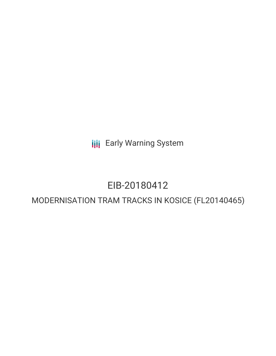**III** Early Warning System

# EIB-20180412

# MODERNISATION TRAM TRACKS IN KOSICE (FL20140465)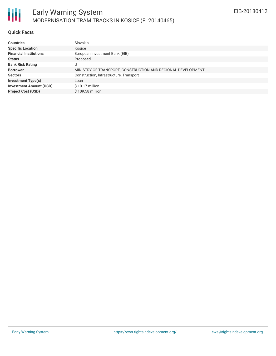

#### **Quick Facts**

| <b>Countries</b>               | Slovakia                                                     |
|--------------------------------|--------------------------------------------------------------|
| <b>Specific Location</b>       | Kosice                                                       |
| <b>Financial Institutions</b>  | European Investment Bank (EIB)                               |
| <b>Status</b>                  | Proposed                                                     |
| <b>Bank Risk Rating</b>        | U                                                            |
| <b>Borrower</b>                | MINISTRY OF TRANSPORT, CONSTRUCTION AND REGIONAL DEVELOPMENT |
| <b>Sectors</b>                 | Construction, Infrastructure, Transport                      |
| <b>Investment Type(s)</b>      | Loan                                                         |
| <b>Investment Amount (USD)</b> | $$10.17$ million                                             |
| <b>Project Cost (USD)</b>      | \$109.58 million                                             |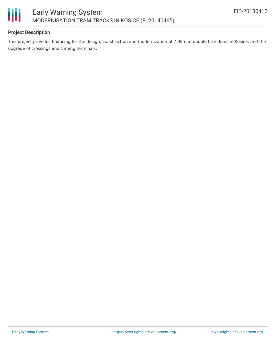

## **Project Description**

This project provides financing for the design, construction and modernization of 7.9km of double tram lines in Kosice, and the upgrade of crossings and turning terminals.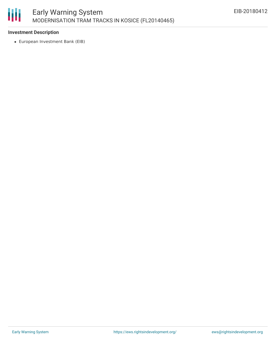

#### **Investment Description**

European Investment Bank (EIB)